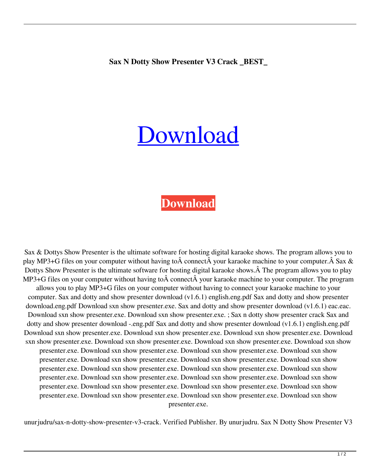## [Download](https://shoxet.com/2l0rwu)

## **[Download](https://shoxet.com/2l0rwu)**

Sax & Dottys Show Presenter is the ultimate software for hosting digital karaoke shows. The program allows you to play MP3+G files on your computer without having to  $\hat{A}$  connect  $\hat{A}$  your karaoke machine to your computer.  $\hat{A}$  Sax  $\&$ Dottys Show Presenter is the ultimate software for hosting digital karaoke shows. A The program allows you to play MP3+G files on your computer without having to  $\hat{A}$  connect  $\hat{A}$  your karaoke machine to your computer. The program allows you to play MP3+G files on your computer without having to connect your karaoke machine to your computer. Sax and dotty and show presenter download (v1.6.1) english.eng.pdf Sax and dotty and show presenter download.eng.pdf Download sxn show presenter.exe. Sax and dotty and show presenter download (v1.6.1) eac.eac. Download sxn show presenter.exe. Download sxn show presenter.exe. ; Sax n dotty show presenter crack Sax and dotty and show presenter download -.eng.pdf Sax and dotty and show presenter download (v1.6.1) english.eng.pdf Download sxn show presenter.exe. Download sxn show presenter.exe. Download sxn show presenter.exe. Download sxn show presenter.exe. Download sxn show presenter.exe. Download sxn show presenter.exe. Download sxn show presenter.exe. Download sxn show presenter.exe. Download sxn show presenter.exe. Download sxn show presenter.exe. Download sxn show presenter.exe. Download sxn show presenter.exe. Download sxn show presenter.exe. Download sxn show presenter.exe. Download sxn show presenter.exe. Download sxn show presenter.exe. Download sxn show presenter.exe. Download sxn show presenter.exe. Download sxn show presenter.exe. Download sxn show presenter.exe. Download sxn show presenter.exe. Download sxn show presenter.exe. Download sxn show presenter.exe. Download sxn show presenter.exe. Download sxn show presenter.exe.

unurjudru/sax-n-dotty-show-presenter-v3-crack. Verified Publisher. By unurjudru. Sax N Dotty Show Presenter V3